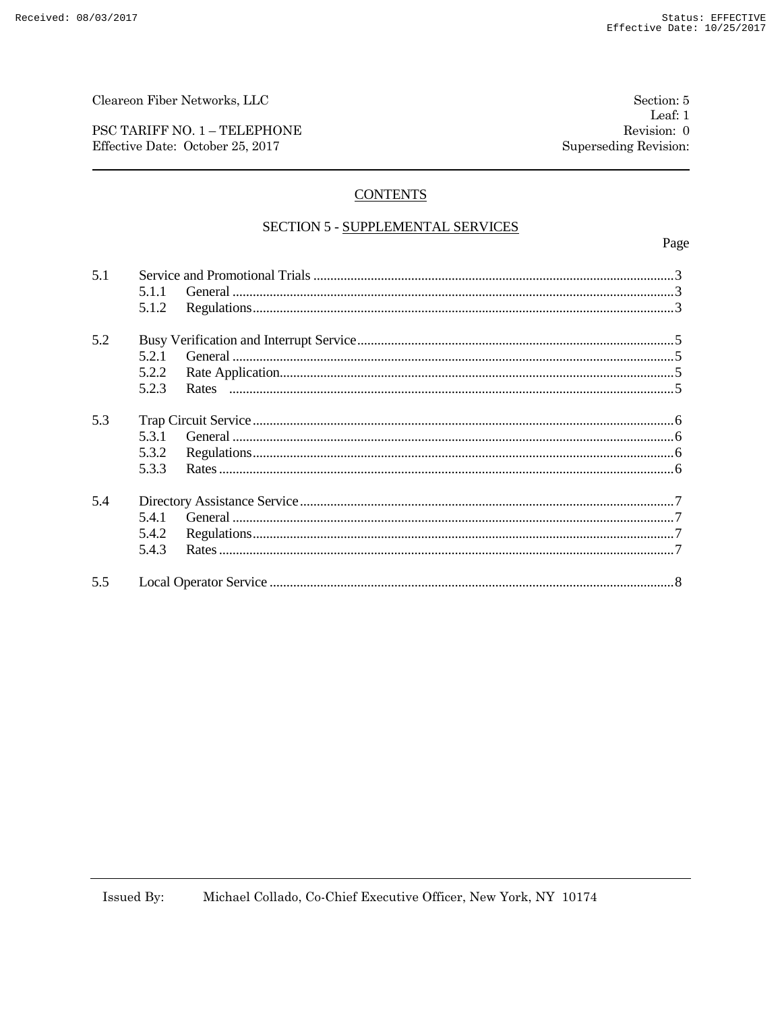Cleareon Fiber Networks, LLC

PSC TARIFF NO. 1 - TELEPHONE Effective Date: October 25, 2017

## **CONTENTS**

## SECTION 5 - SUPPLEMENTAL SERVICES

Page

| 5.1 |       |  |  |
|-----|-------|--|--|
|     | 5.1.1 |  |  |
|     | 5.1.2 |  |  |
| 5.2 |       |  |  |
|     | 5.2.1 |  |  |
|     | 5.2.2 |  |  |
|     | 5.2.3 |  |  |
| 5.3 |       |  |  |
|     | 5.3.1 |  |  |
|     | 5.3.2 |  |  |
|     | 5.3.3 |  |  |
| 5.4 |       |  |  |
|     | 5.4.1 |  |  |
|     | 5.4.2 |  |  |
|     | 5.4.3 |  |  |
| 55  |       |  |  |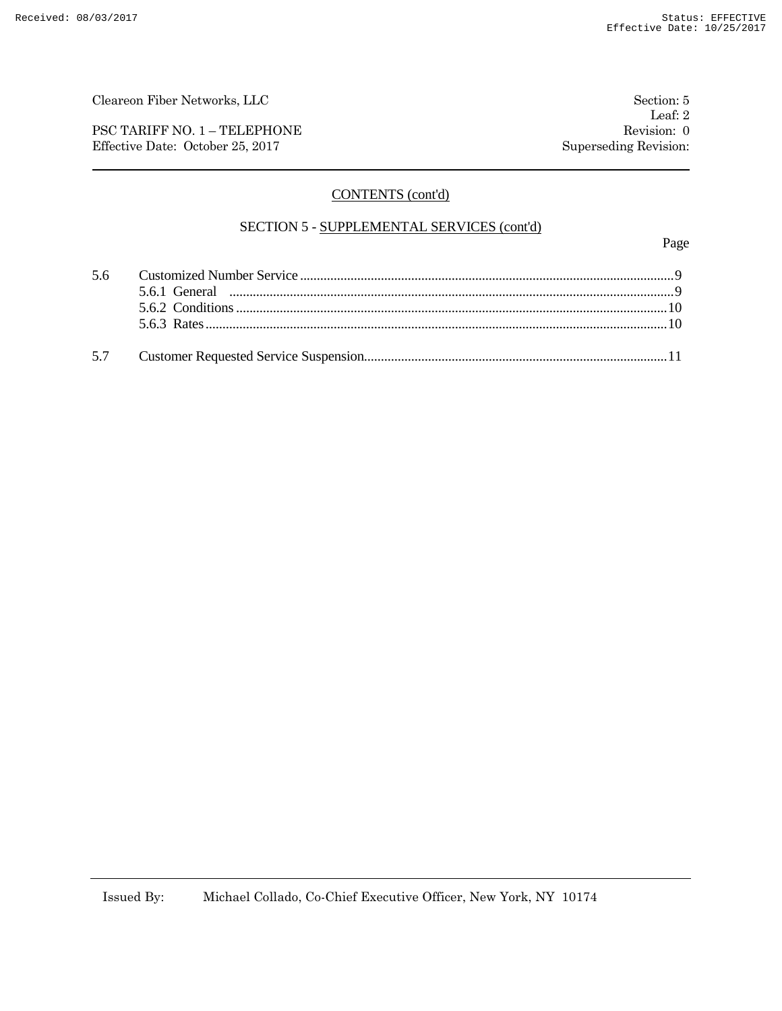PSC TARIFF NO. 1 – TELEPHONE Revision: 0 Effective Date: October 25, 2017 Superseding Revision:

Leaf: 2

# CONTENTS (cont'd)

## SECTION 5 - SUPPLEMENTAL SERVICES (cont'd)

Page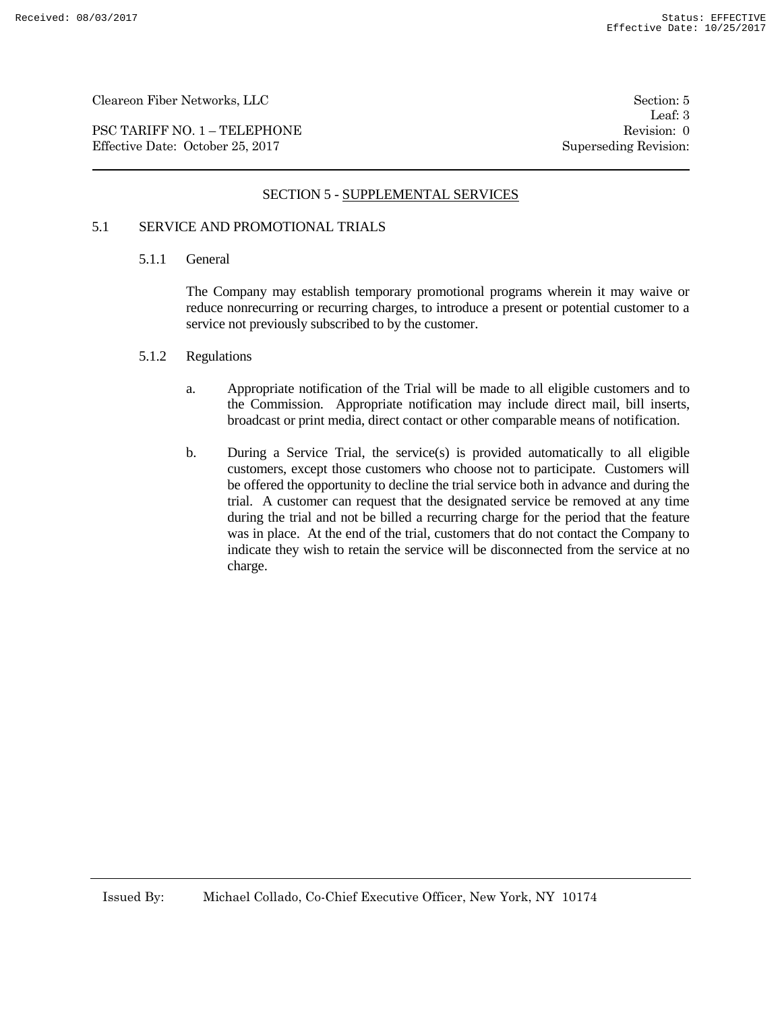PSC TARIFF NO. 1 – TELEPHONE Revision: 0 Effective Date: October 25, 2017 Superseding Revision:

Leaf: 3

# SECTION 5 - SUPPLEMENTAL SERVICES

# 5.1 SERVICE AND PROMOTIONAL TRIALS

#### 5.1.1 General

The Company may establish temporary promotional programs wherein it may waive or reduce nonrecurring or recurring charges, to introduce a present or potential customer to a service not previously subscribed to by the customer.

#### 5.1.2 Regulations

- a. Appropriate notification of the Trial will be made to all eligible customers and to the Commission. Appropriate notification may include direct mail, bill inserts, broadcast or print media, direct contact or other comparable means of notification.
- b. During a Service Trial, the service(s) is provided automatically to all eligible customers, except those customers who choose not to participate. Customers will be offered the opportunity to decline the trial service both in advance and during the trial. A customer can request that the designated service be removed at any time during the trial and not be billed a recurring charge for the period that the feature was in place. At the end of the trial, customers that do not contact the Company to indicate they wish to retain the service will be disconnected from the service at no charge.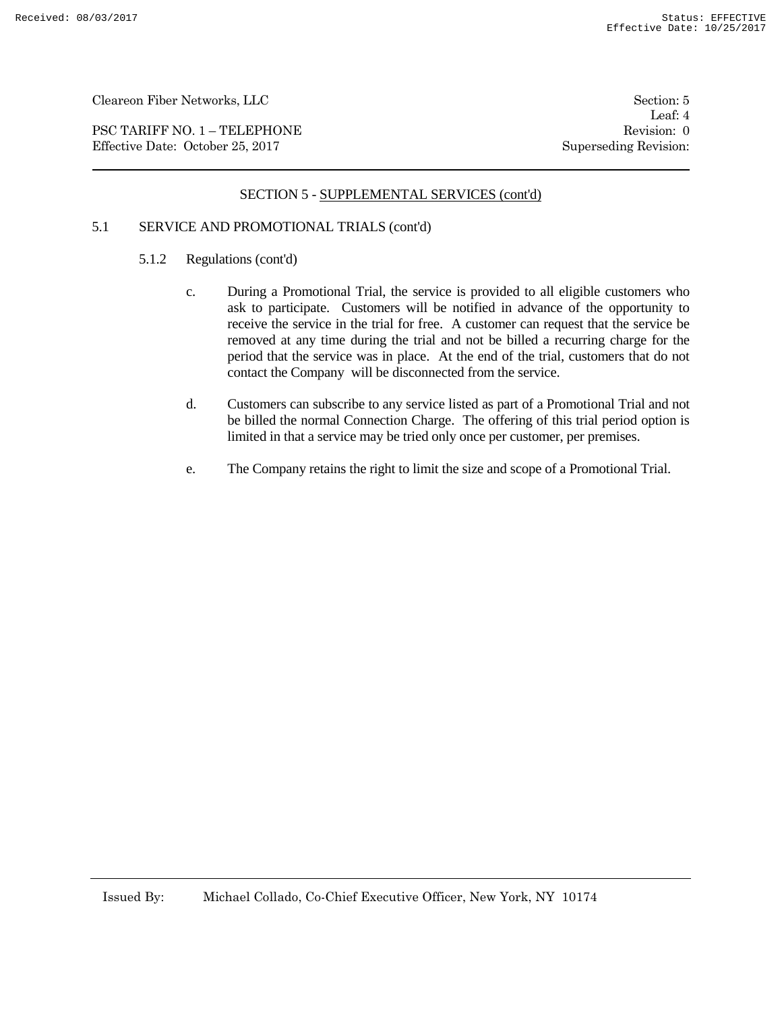PSC TARIFF NO. 1 – TELEPHONE Revision: 0 Effective Date: October 25, 2017 Superseding Revision:

Leaf: 4

## SECTION 5 - SUPPLEMENTAL SERVICES (cont'd)

# 5.1 SERVICE AND PROMOTIONAL TRIALS (cont'd)

- 5.1.2 Regulations (cont'd)
	- c. During a Promotional Trial, the service is provided to all eligible customers who ask to participate. Customers will be notified in advance of the opportunity to receive the service in the trial for free. A customer can request that the service be removed at any time during the trial and not be billed a recurring charge for the period that the service was in place. At the end of the trial, customers that do not contact the Company will be disconnected from the service.
	- d. Customers can subscribe to any service listed as part of a Promotional Trial and not be billed the normal Connection Charge. The offering of this trial period option is limited in that a service may be tried only once per customer, per premises.
	- e. The Company retains the right to limit the size and scope of a Promotional Trial.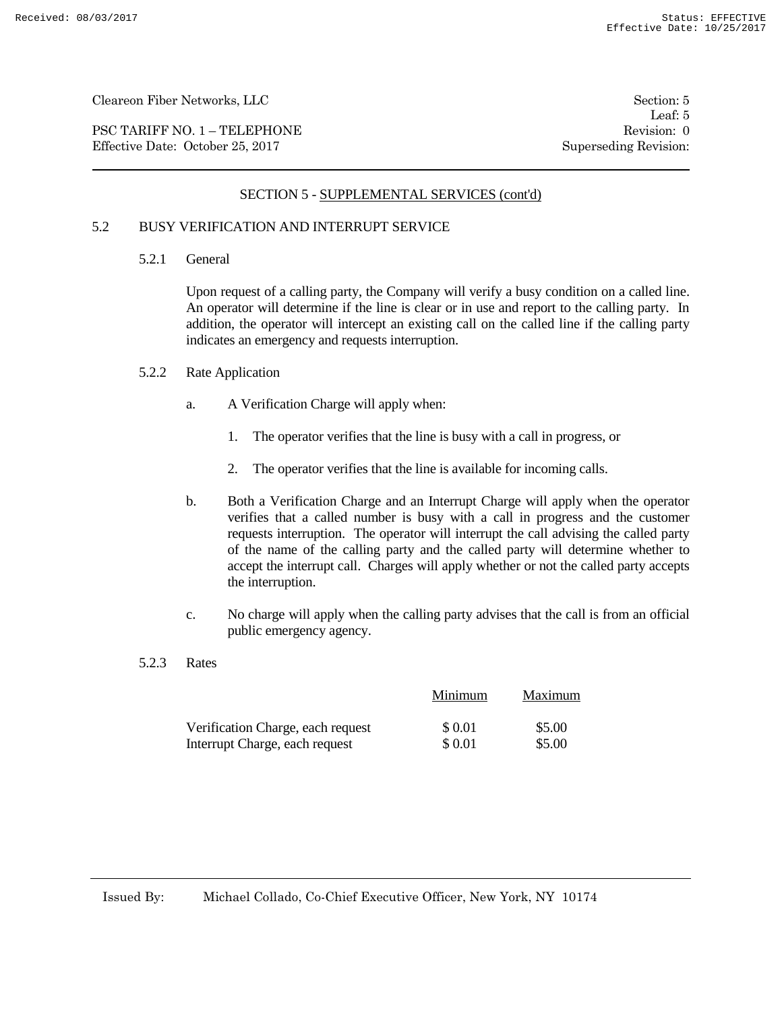PSC TARIFF NO. 1 – TELEPHONE Revision: 0<br>
Effective Date: October 25, 2017 Superseding Revision: 0 Effective Date: October 25, 2017

Leaf: 5

# SECTION 5 - SUPPLEMENTAL SERVICES (cont'd)

## 5.2 BUSY VERIFICATION AND INTERRUPT SERVICE

5.2.1 General

Upon request of a calling party, the Company will verify a busy condition on a called line. An operator will determine if the line is clear or in use and report to the calling party. In addition, the operator will intercept an existing call on the called line if the calling party indicates an emergency and requests interruption.

- 5.2.2 Rate Application
	- a. A Verification Charge will apply when:
		- 1. The operator verifies that the line is busy with a call in progress, or
		- 2. The operator verifies that the line is available for incoming calls.
	- b. Both a Verification Charge and an Interrupt Charge will apply when the operator verifies that a called number is busy with a call in progress and the customer requests interruption. The operator will interrupt the call advising the called party of the name of the calling party and the called party will determine whether to accept the interrupt call. Charges will apply whether or not the called party accepts the interruption.
	- c. No charge will apply when the calling party advises that the call is from an official public emergency agency.
- 5.2.3 Rates

|                                   | Minimum | Maximum |
|-----------------------------------|---------|---------|
| Verification Charge, each request | \$ 0.01 | \$5.00  |
| Interrupt Charge, each request    | \$ 0.01 | \$5.00  |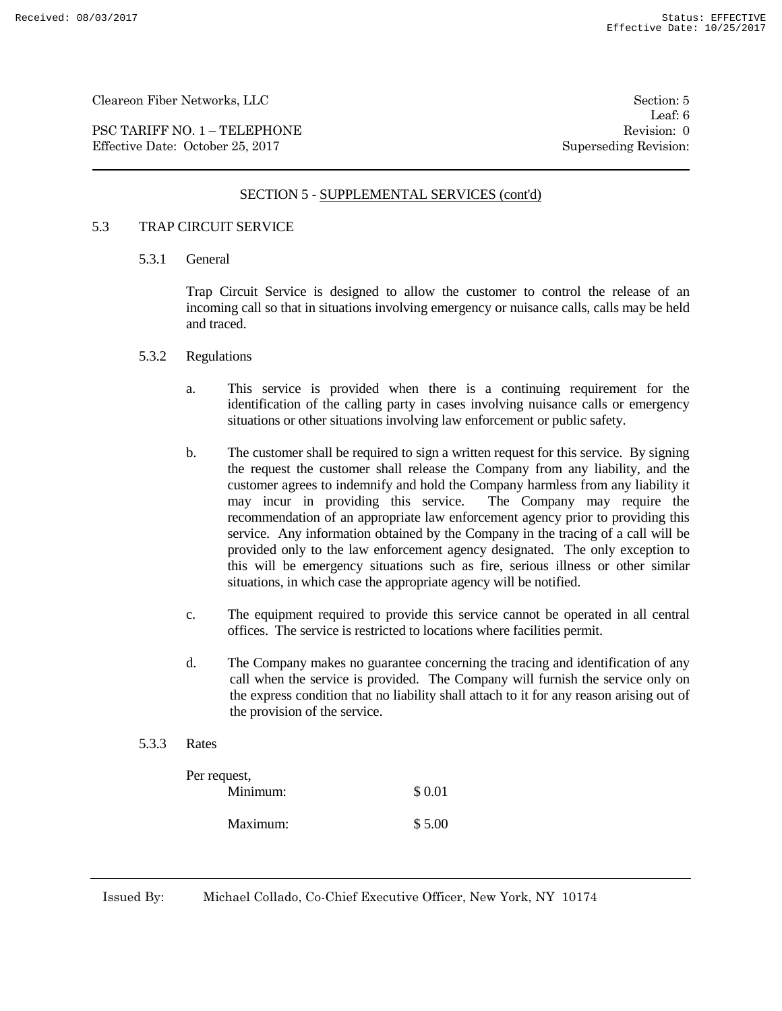PSC TARIFF NO. 1 – TELEPHONE Revision: 0 Effective Date: October 25, 2017 Superseding Revision:

Leaf: 6

#### SECTION 5 - SUPPLEMENTAL SERVICES (cont'd)

#### 5.3 TRAP CIRCUIT SERVICE

5.3.1 General

Trap Circuit Service is designed to allow the customer to control the release of an incoming call so that in situations involving emergency or nuisance calls, calls may be held and traced.

- 5.3.2 Regulations
	- a. This service is provided when there is a continuing requirement for the identification of the calling party in cases involving nuisance calls or emergency situations or other situations involving law enforcement or public safety.
	- b. The customer shall be required to sign a written request for this service. By signing the request the customer shall release the Company from any liability, and the customer agrees to indemnify and hold the Company harmless from any liability it may incur in providing this service. The Company may require the recommendation of an appropriate law enforcement agency prior to providing this service. Any information obtained by the Company in the tracing of a call will be provided only to the law enforcement agency designated. The only exception to this will be emergency situations such as fire, serious illness or other similar situations, in which case the appropriate agency will be notified.
	- c. The equipment required to provide this service cannot be operated in all central offices. The service is restricted to locations where facilities permit.
	- d. The Company makes no guarantee concerning the tracing and identification of any call when the service is provided. The Company will furnish the service only on the express condition that no liability shall attach to it for any reason arising out of the provision of the service.
- 5.3.3 Rates

| Per request, |        |
|--------------|--------|
| Minimum:     | \$0.01 |
| Maximum:     | \$5.00 |

Issued By: Michael Collado, Co-Chief Executive Officer, New York, NY 10174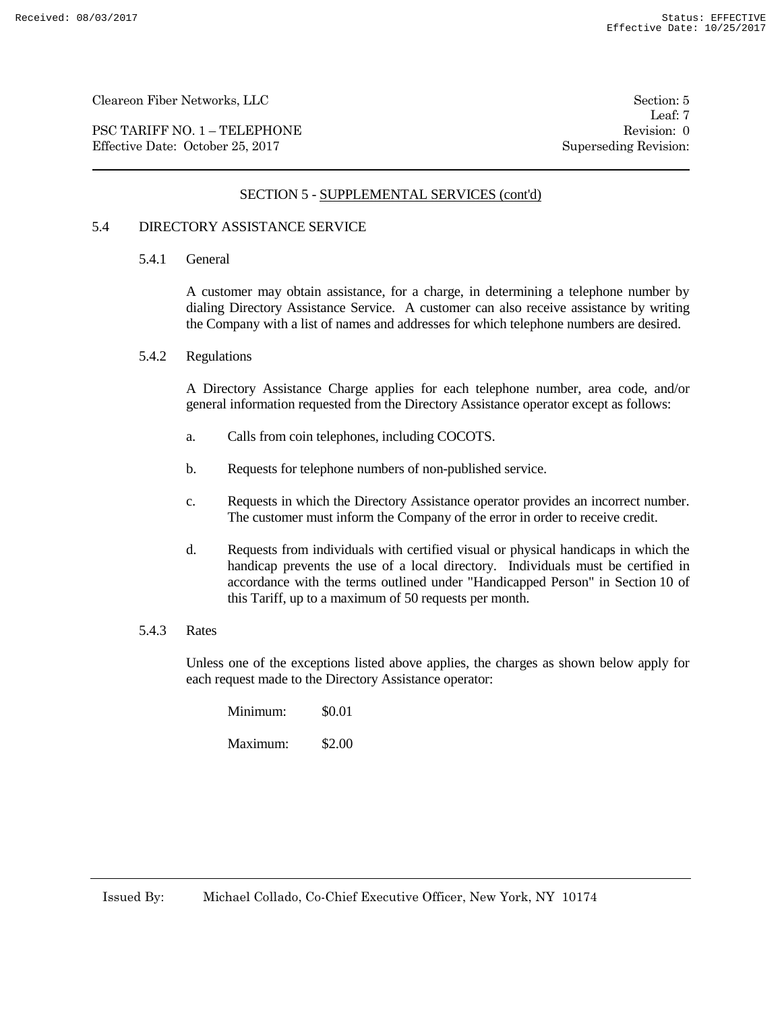PSC TARIFF NO. 1 – TELEPHONE Revision: 0 Effective Date: October 25, 2017 Superseding Revision:

Leaf: 7

## SECTION 5 - SUPPLEMENTAL SERVICES (cont'd)

## 5.4 DIRECTORY ASSISTANCE SERVICE

5.4.1 General

A customer may obtain assistance, for a charge, in determining a telephone number by dialing Directory Assistance Service. A customer can also receive assistance by writing the Company with a list of names and addresses for which telephone numbers are desired.

5.4.2 Regulations

A Directory Assistance Charge applies for each telephone number, area code, and/or general information requested from the Directory Assistance operator except as follows:

- a. Calls from coin telephones, including COCOTS.
- b. Requests for telephone numbers of non-published service.
- c. Requests in which the Directory Assistance operator provides an incorrect number. The customer must inform the Company of the error in order to receive credit.
- d. Requests from individuals with certified visual or physical handicaps in which the handicap prevents the use of a local directory. Individuals must be certified in accordance with the terms outlined under "Handicapped Person" in Section 10 of this Tariff, up to a maximum of 50 requests per month.

#### 5.4.3 Rates

Unless one of the exceptions listed above applies, the charges as shown below apply for each request made to the Directory Assistance operator:

| Minimum: | \$0.01 |
|----------|--------|
| Maximum: | \$2.00 |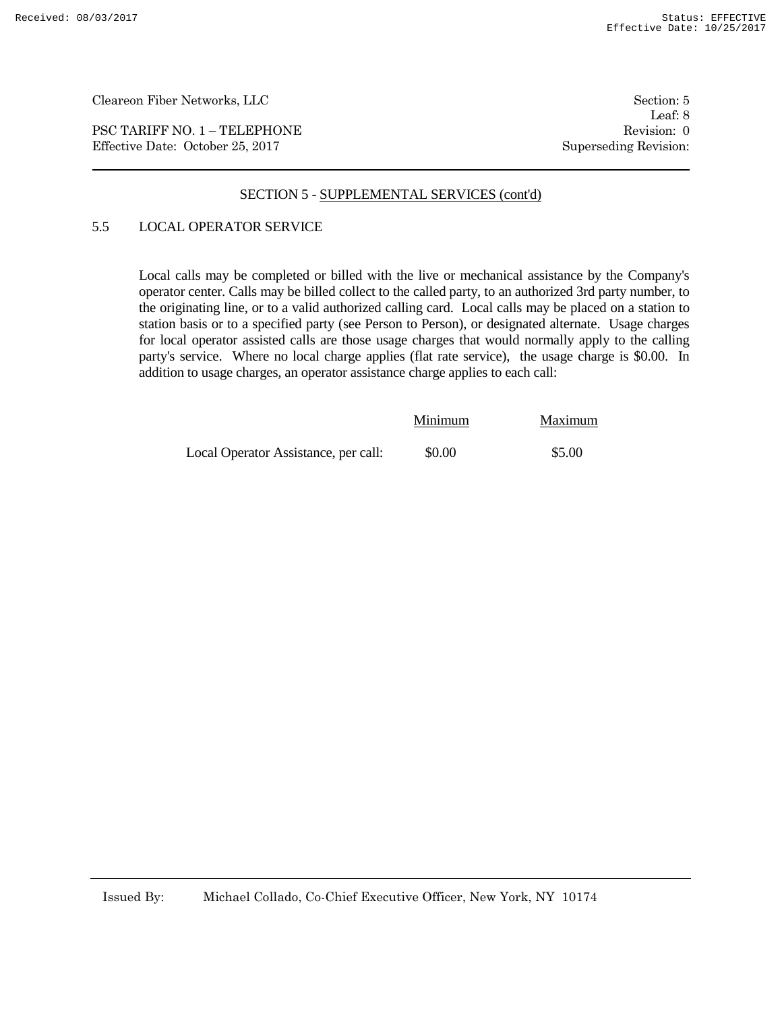PSC TARIFF NO. 1 – TELEPHONE Revision: 0 Effective Date: October 25, 2017 Superseding Revision:

#### SECTION 5 - SUPPLEMENTAL SERVICES (cont'd)

## 5.5 LOCAL OPERATOR SERVICE

Local calls may be completed or billed with the live or mechanical assistance by the Company's operator center. Calls may be billed collect to the called party, to an authorized 3rd party number, to the originating line, or to a valid authorized calling card. Local calls may be placed on a station to station basis or to a specified party (see Person to Person), or designated alternate. Usage charges for local operator assisted calls are those usage charges that would normally apply to the calling party's service. Where no local charge applies (flat rate service), the usage charge is \$0.00. In addition to usage charges, an operator assistance charge applies to each call:

|                                      | Minimum | Maximum |
|--------------------------------------|---------|---------|
| Local Operator Assistance, per call: | \$0.00  | \$5.00  |

Leaf: 8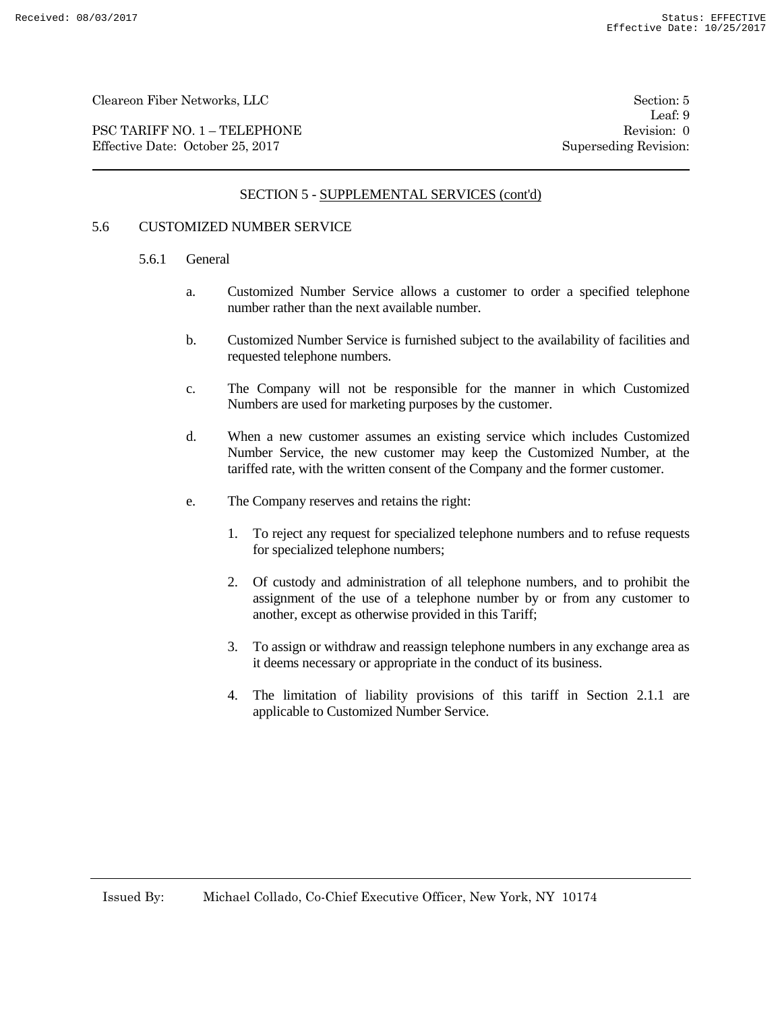PSC TARIFF NO. 1 – TELEPHONE Revision: 0 Effective Date: October 25, 2017 Superseding Revision:

Leaf: 9

# SECTION 5 - SUPPLEMENTAL SERVICES (cont'd)

#### 5.6 CUSTOMIZED NUMBER SERVICE

#### 5.6.1 General

- a. Customized Number Service allows a customer to order a specified telephone number rather than the next available number.
- b. Customized Number Service is furnished subject to the availability of facilities and requested telephone numbers.
- c. The Company will not be responsible for the manner in which Customized Numbers are used for marketing purposes by the customer.
- d. When a new customer assumes an existing service which includes Customized Number Service, the new customer may keep the Customized Number, at the tariffed rate, with the written consent of the Company and the former customer.
- e. The Company reserves and retains the right:
	- 1. To reject any request for specialized telephone numbers and to refuse requests for specialized telephone numbers;
	- 2. Of custody and administration of all telephone numbers, and to prohibit the assignment of the use of a telephone number by or from any customer to another, except as otherwise provided in this Tariff;
	- 3. To assign or withdraw and reassign telephone numbers in any exchange area as it deems necessary or appropriate in the conduct of its business.
	- 4. The limitation of liability provisions of this tariff in Section 2.1.1 are applicable to Customized Number Service.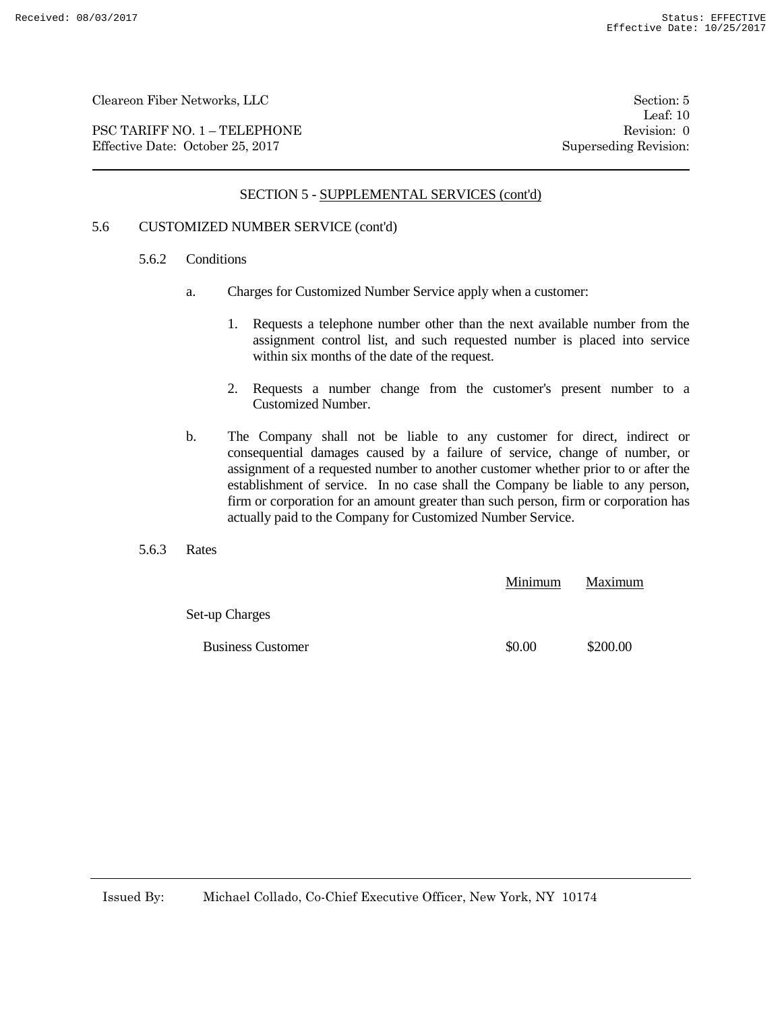PSC TARIFF NO. 1 – TELEPHONE Revision: 0 Effective Date: October 25, 2017 Superseding Revision:

Leaf: 10

# SECTION 5 - SUPPLEMENTAL SERVICES (cont'd)

# 5.6 CUSTOMIZED NUMBER SERVICE (cont'd)

- 5.6.2 Conditions
	- a. Charges for Customized Number Service apply when a customer:
		- 1. Requests a telephone number other than the next available number from the assignment control list, and such requested number is placed into service within six months of the date of the request.
		- 2. Requests a number change from the customer's present number to a Customized Number.
	- b. The Company shall not be liable to any customer for direct, indirect or consequential damages caused by a failure of service, change of number, or assignment of a requested number to another customer whether prior to or after the establishment of service. In no case shall the Company be liable to any person, firm or corporation for an amount greater than such person, firm or corporation has actually paid to the Company for Customized Number Service.
- 5.6.3 Rates

|                          | Minimum | Maximum  |
|--------------------------|---------|----------|
| Set-up Charges           |         |          |
| <b>Business Customer</b> | \$0.00  | \$200.00 |